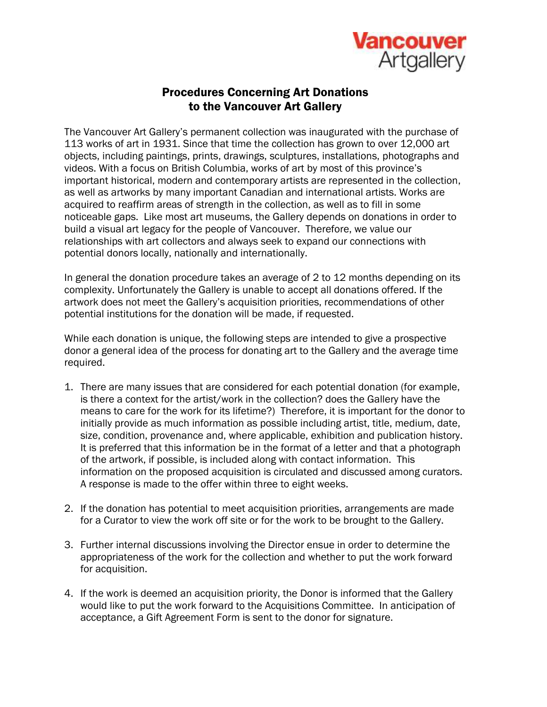

## Procedures Concerning Art Donations to the Vancouver Art Gallery

The Vancouver Art Gallery's permanent collection was inaugurated with the purchase of 113 works of art in 1931. Since that time the collection has grown to over 12,000 art objects, including paintings, prints, drawings, sculptures, installations, photographs and videos. With a focus on British Columbia, works of art by most of this province's important historical, modern and contemporary artists are represented in the collection, as well as artworks by many important Canadian and international artists. Works are acquired to reaffirm areas of strength in the collection, as well as to fill in some noticeable gaps. Like most art museums, the Gallery depends on donations in order to build a visual art legacy for the people of Vancouver. Therefore, we value our relationships with art collectors and always seek to expand our connections with potential donors locally, nationally and internationally.

In general the donation procedure takes an average of 2 to 12 months depending on its complexity. Unfortunately the Gallery is unable to accept all donations offered. If the artwork does not meet the Gallery's acquisition priorities, recommendations of other potential institutions for the donation will be made, if requested.

While each donation is unique, the following steps are intended to give a prospective donor a general idea of the process for donating art to the Gallery and the average time required.

- 1. There are many issues that are considered for each potential donation (for example, is there a context for the artist/work in the collection? does the Gallery have the means to care for the work for its lifetime?) Therefore, it is important for the donor to initially provide as much information as possible including artist, title, medium, date, size, condition, provenance and, where applicable, exhibition and publication history. It is preferred that this information be in the format of a letter and that a photograph of the artwork, if possible, is included along with contact information. This information on the proposed acquisition is circulated and discussed among curators. A response is made to the offer within three to eight weeks.
- 2. If the donation has potential to meet acquisition priorities, arrangements are made for a Curator to view the work off site or for the work to be brought to the Gallery.
- 3. Further internal discussions involving the Director ensue in order to determine the appropriateness of the work for the collection and whether to put the work forward for acquisition.
- 4. If the work is deemed an acquisition priority, the Donor is informed that the Gallery would like to put the work forward to the Acquisitions Committee. In anticipation of acceptance, a Gift Agreement Form is sent to the donor for signature.